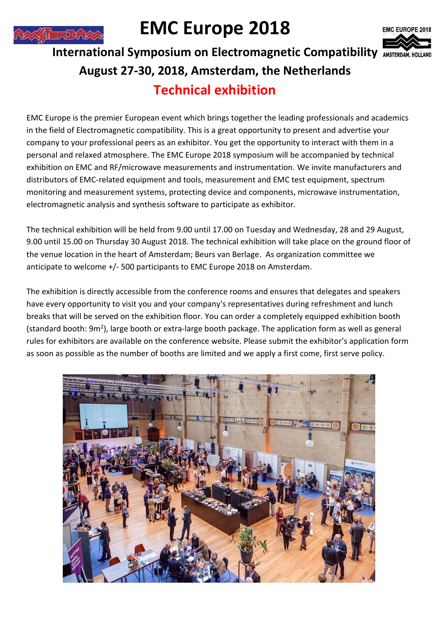

# **EMC Europe 2018**



## **International Symposium on Electromagnetic Compatibility August 27-30, 2018, Amsterdam, the Netherlands Technical exhibition**

EMC Europe is the premier European event which brings together the leading professionals and academics in the field of Electromagnetic compatibility. This is a great opportunity to present and advertise your company to your professional peers as an exhibitor. You get the opportunity to interact with them in a personal and relaxed atmosphere. The EMC Europe 2018 symposium will be accompanied by technical exhibition on EMC and RF/microwave measurements and instrumentation. We invite manufacturers and distributors of EMC-related equipment and tools, measurement and EMC test equipment, spectrum monitoring and measurement systems, protecting device and components, microwave instrumentation, electromagnetic analysis and synthesis software to participate as exhibitor.

The technical exhibition will be held from 9.00 until 17.00 on Tuesday and Wednesday, 28 and 29 August, 9.00 until 15.00 on Thursday 30 August 2018. The technical exhibition will take place on the ground floor of the venue location in the heart of Amsterdam; Beurs van Berlage. As organization committee we anticipate to welcome +/- 500 participants to EMC Europe 2018 on Amsterdam.

The exhibition is directly accessible from the conference rooms and ensures that delegates and speakers have every opportunity to visit you and your company's representatives during refreshment and lunch breaks that will be served on the exhibition floor. You can order a completely equipped exhibition booth (standard booth: 9m<sup>2</sup>), large booth or extra-large booth package. The application form as well as general rules for exhibitors are available on the conference website. Please submit the exhibitor's application form as soon as possible as the number of booths are limited and we apply a first come, first serve policy.